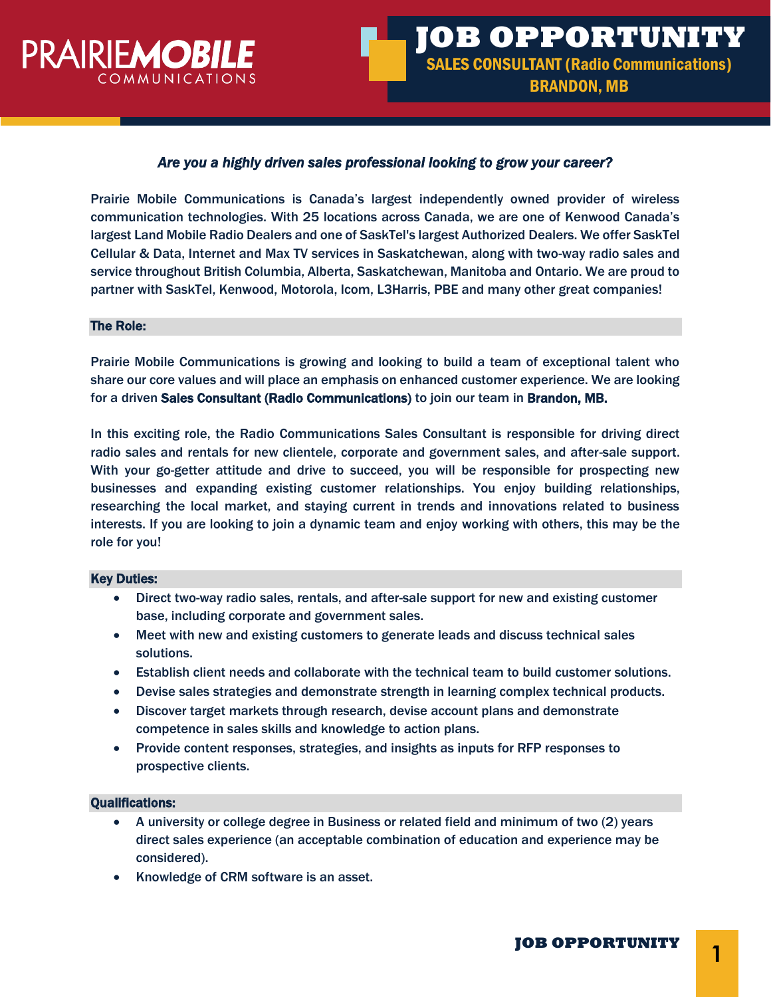

# *Are you a highly driven sales professional looking to grow your career?*

Prairie Mobile Communications is Canada's largest independently owned provider of wireless communication technologies. With 25 locations across Canada, we are one of Kenwood Canada's largest Land Mobile Radio Dealers and one of SaskTel's largest Authorized Dealers. We offer SaskTel Cellular & Data, Internet and Max TV services in Saskatchewan, along with two-way radio sales and service throughout British Columbia, Alberta, Saskatchewan, Manitoba and Ontario. We are proud to partner with SaskTel, Kenwood, Motorola, Icom, L3Harris, PBE and many other great companies!

#### The Role:

Prairie Mobile Communications is growing and looking to build a team of exceptional talent who share our core values and will place an emphasis on enhanced customer experience. We are looking for a driven Sales Consultant (Radio Communications) to join our team in Brandon, MB.

In this exciting role, the Radio Communications Sales Consultant is responsible for driving direct radio sales and rentals for new clientele, corporate and government sales, and after-sale support. With your go-getter attitude and drive to succeed, you will be responsible for prospecting new businesses and expanding existing customer relationships. You enjoy building relationships, researching the local market, and staying current in trends and innovations related to business interests. If you are looking to join a dynamic team and enjoy working with others, this may be the role for you!

#### Key Duties:

- Direct two-way radio sales, rentals, and after-sale support for new and existing customer base, including corporate and government sales.
- Meet with new and existing customers to generate leads and discuss technical sales solutions.
- Establish client needs and collaborate with the technical team to build customer solutions.
- Devise sales strategies and demonstrate strength in learning complex technical products.
- Discover target markets through research, devise account plans and demonstrate competence in sales skills and knowledge to action plans.
- Provide content responses, strategies, and insights as inputs for RFP responses to prospective clients.

### Qualifications:

- A university or college degree in Business or related field and minimum of two (2) years direct sales experience (an acceptable combination of education and experience may be considered).
- Knowledge of CRM software is an asset.